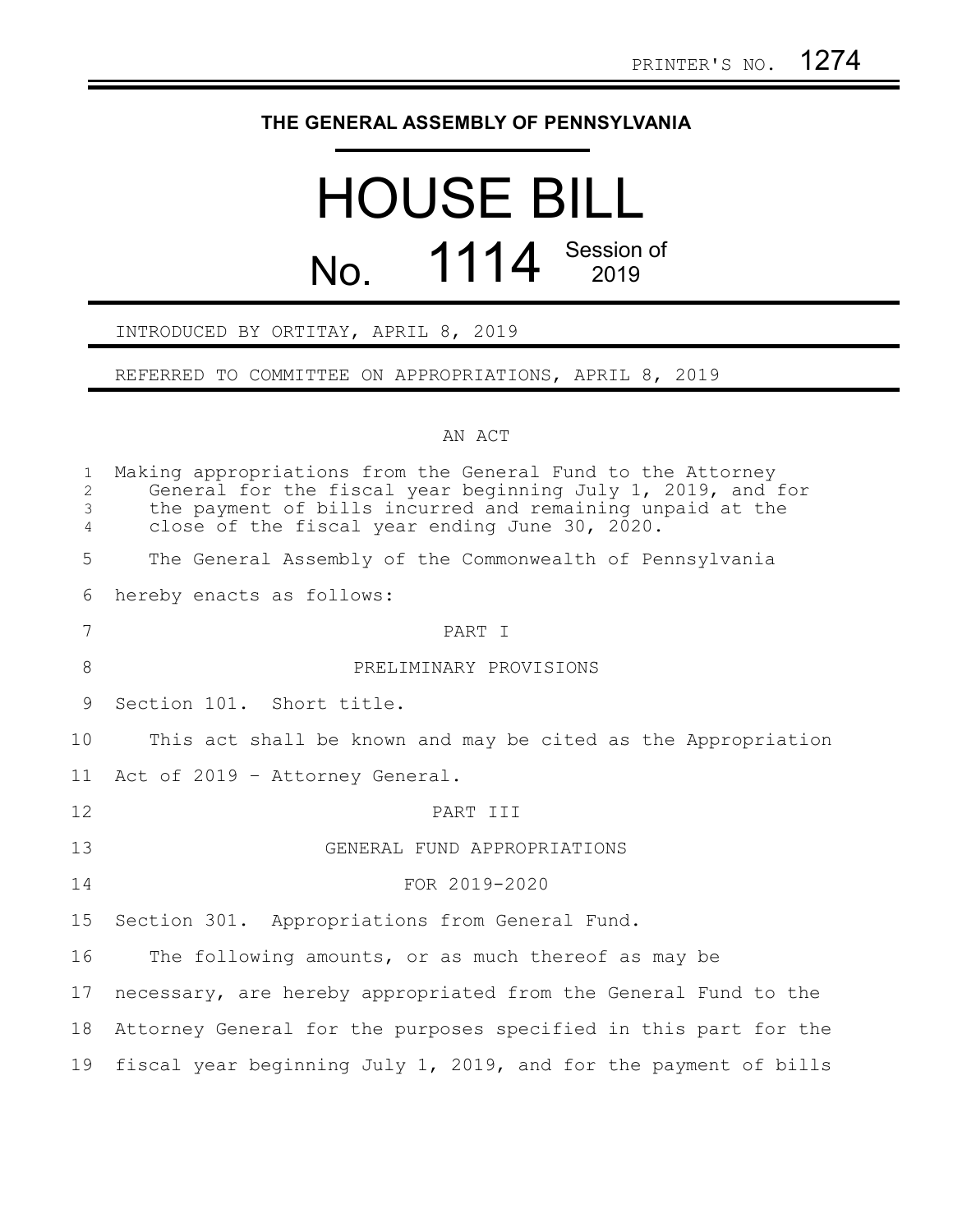## **THE GENERAL ASSEMBLY OF PENNSYLVANIA**

## HOUSE BILL No. 1114 Session of

## INTRODUCED BY ORTITAY, APRIL 8, 2019

REFERRED TO COMMITTEE ON APPROPRIATIONS, APRIL 8, 2019

## AN ACT

| $\mathbf{1}$<br>$\overline{2}$<br>3<br>$\overline{4}$ | Making appropriations from the General Fund to the Attorney<br>General for the fiscal year beginning July 1, 2019, and for<br>the payment of bills incurred and remaining unpaid at the<br>close of the fiscal year ending June 30, 2020. |
|-------------------------------------------------------|-------------------------------------------------------------------------------------------------------------------------------------------------------------------------------------------------------------------------------------------|
| 5                                                     | The General Assembly of the Commonwealth of Pennsylvania                                                                                                                                                                                  |
| 6                                                     | hereby enacts as follows:                                                                                                                                                                                                                 |
| 7                                                     | PART I                                                                                                                                                                                                                                    |
| 8                                                     | PRELIMINARY PROVISIONS                                                                                                                                                                                                                    |
| 9                                                     | Section 101. Short title.                                                                                                                                                                                                                 |
| 10                                                    | This act shall be known and may be cited as the Appropriation                                                                                                                                                                             |
| 11                                                    | Act of 2019 - Attorney General.                                                                                                                                                                                                           |
| 12                                                    | PART III                                                                                                                                                                                                                                  |
| 13                                                    | GENERAL FUND APPROPRIATIONS                                                                                                                                                                                                               |
| 14                                                    | FOR 2019-2020                                                                                                                                                                                                                             |
| 15                                                    | Section 301. Appropriations from General Fund.                                                                                                                                                                                            |
| 16                                                    | The following amounts, or as much thereof as may be                                                                                                                                                                                       |
| 17                                                    | necessary, are hereby appropriated from the General Fund to the                                                                                                                                                                           |
| 18                                                    | Attorney General for the purposes specified in this part for the                                                                                                                                                                          |
| 19                                                    | fiscal year beginning July 1, 2019, and for the payment of bills                                                                                                                                                                          |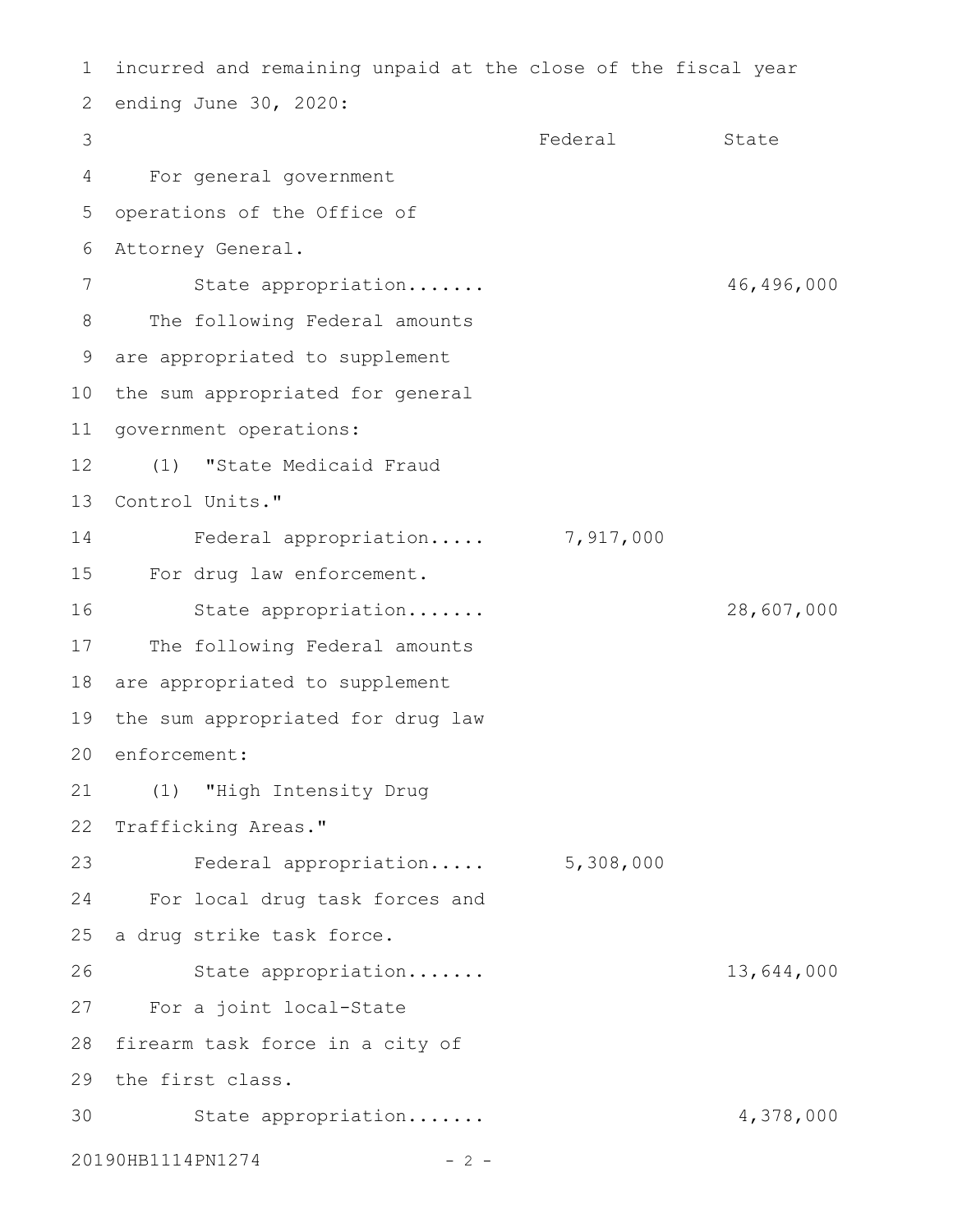```
incurred and remaining unpaid at the close of the fiscal year
 2 ending June 30, 2020:
                                    Federal State
     For general government
  operations of the Office of
 Attorney General.
6
         State appropriation....... 46,496,000
      The following Federal amounts
 are appropriated to supplement
9
10 the sum appropriated for general
11 government operations:
      (1) "State Medicaid Fraud
13 Control Units."
         Federal appropriation..... 7,917,000
For drug law enforcement.
15
         State appropriation....... 28,607,000
17 The following Federal amounts
18 are appropriated to supplement
19 the sum appropriated for drug law
20 enforcement:
(1) "High Intensity Drug
21
22 Trafficking Areas."
         Federal appropriation..... 5,308,000
     For local drug task forces and
25 a drug strike task force.
         State appropriation....... 13,644,000
27 For a joint local-State
28 firearm task force in a city of
29 the first class.
        State appropriation....... 4,378,000
20190HB1114PN1274 - 2 -
1
3
4
5
7
8
12
14
16
23
24
26
30
```